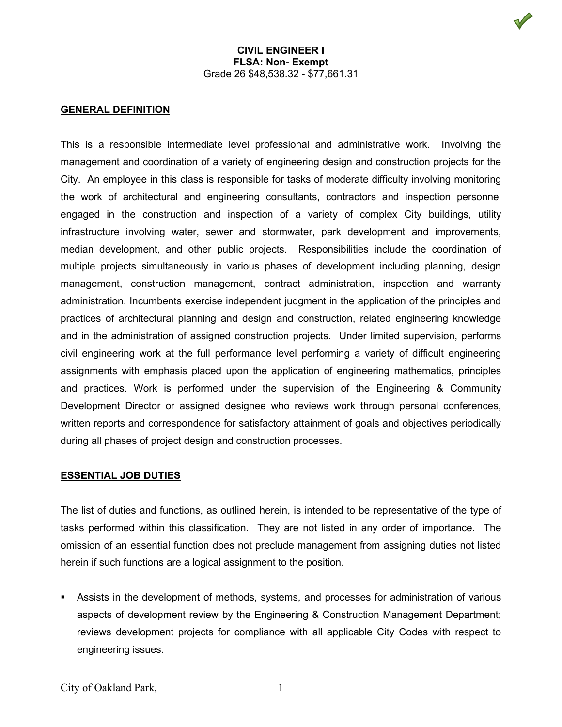# **GENERAL DEFINITION**

This is a responsible intermediate level professional and administrative work. Involving the management and coordination of a variety of engineering design and construction projects for the City. An employee in this class is responsible for tasks of moderate difficulty involving monitoring the work of architectural and engineering consultants, contractors and inspection personnel engaged in the construction and inspection of a variety of complex City buildings, utility infrastructure involving water, sewer and stormwater, park development and improvements, median development, and other public projects. Responsibilities include the coordination of multiple projects simultaneously in various phases of development including planning, design management, construction management, contract administration, inspection and warranty administration. Incumbents exercise independent judgment in the application of the principles and practices of architectural planning and design and construction, related engineering knowledge and in the administration of assigned construction projects. Under limited supervision, performs civil engineering work at the full performance level performing a variety of difficult engineering assignments with emphasis placed upon the application of engineering mathematics, principles and practices. Work is performed under the supervision of the Engineering & Community Development Director or assigned designee who reviews work through personal conferences, written reports and correspondence for satisfactory attainment of goals and objectives periodically during all phases of project design and construction processes.

# **ESSENTIAL JOB DUTIES**

The list of duties and functions, as outlined herein, is intended to be representative of the type of tasks performed within this classification. They are not listed in any order of importance. The omission of an essential function does not preclude management from assigning duties not listed herein if such functions are a logical assignment to the position.

 Assists in the development of methods, systems, and processes for administration of various aspects of development review by the Engineering & Construction Management Department; reviews development projects for compliance with all applicable City Codes with respect to engineering issues.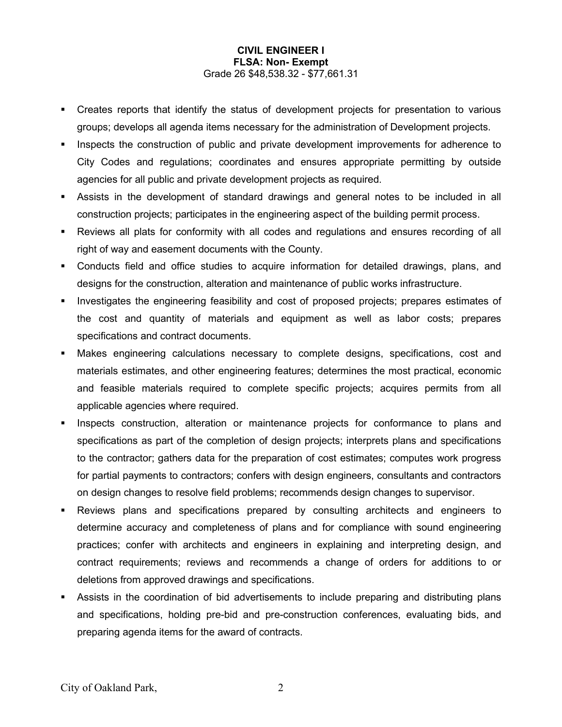- Creates reports that identify the status of development projects for presentation to various groups; develops all agenda items necessary for the administration of Development projects.
- Inspects the construction of public and private development improvements for adherence to City Codes and regulations; coordinates and ensures appropriate permitting by outside agencies for all public and private development projects as required.
- Assists in the development of standard drawings and general notes to be included in all construction projects; participates in the engineering aspect of the building permit process.
- Reviews all plats for conformity with all codes and regulations and ensures recording of all right of way and easement documents with the County.
- Conducts field and office studies to acquire information for detailed drawings, plans, and designs for the construction, alteration and maintenance of public works infrastructure.
- **Investigates the engineering feasibility and cost of proposed projects; prepares estimates of** the cost and quantity of materials and equipment as well as labor costs; prepares specifications and contract documents.
- Makes engineering calculations necessary to complete designs, specifications, cost and materials estimates, and other engineering features; determines the most practical, economic and feasible materials required to complete specific projects; acquires permits from all applicable agencies where required.
- Inspects construction, alteration or maintenance projects for conformance to plans and specifications as part of the completion of design projects; interprets plans and specifications to the contractor; gathers data for the preparation of cost estimates; computes work progress for partial payments to contractors; confers with design engineers, consultants and contractors on design changes to resolve field problems; recommends design changes to supervisor.
- Reviews plans and specifications prepared by consulting architects and engineers to determine accuracy and completeness of plans and for compliance with sound engineering practices; confer with architects and engineers in explaining and interpreting design, and contract requirements; reviews and recommends a change of orders for additions to or deletions from approved drawings and specifications.
- Assists in the coordination of bid advertisements to include preparing and distributing plans and specifications, holding pre-bid and pre-construction conferences, evaluating bids, and preparing agenda items for the award of contracts.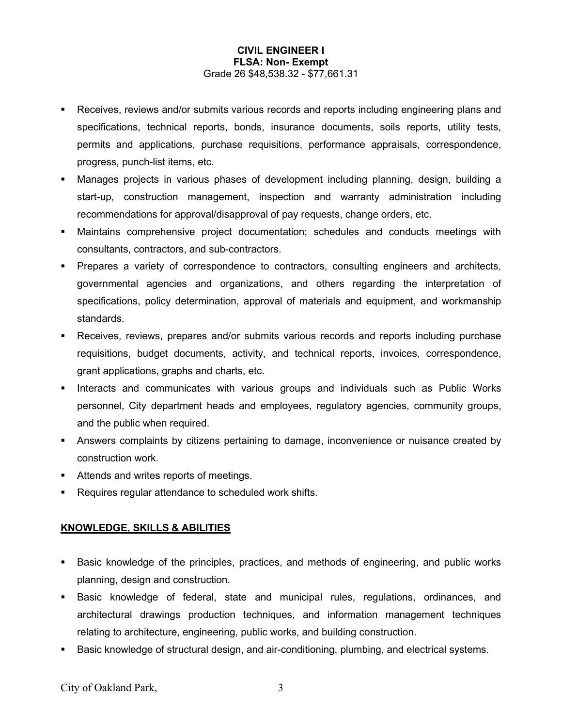- Receives, reviews and/or submits various records and reports including engineering plans and specifications, technical reports, bonds, insurance documents, soils reports, utility tests, permits and applications, purchase requisitions, performance appraisals, correspondence, progress, punch-list items, etc.
- Manages projects in various phases of development including planning, design, building a start-up, construction management, inspection and warranty administration including recommendations for approval/disapproval of pay requests, change orders, etc.
- Maintains comprehensive project documentation; schedules and conducts meetings with consultants, contractors, and sub-contractors.
- Prepares a variety of correspondence to contractors, consulting engineers and architects, governmental agencies and organizations, and others regarding the interpretation of specifications, policy determination, approval of materials and equipment, and workmanship standards.
- Receives, reviews, prepares and/or submits various records and reports including purchase requisitions, budget documents, activity, and technical reports, invoices, correspondence, grant applications, graphs and charts, etc.
- **Interacts and communicates with various groups and individuals such as Public Works** personnel, City department heads and employees, regulatory agencies, community groups, and the public when required.
- Answers complaints by citizens pertaining to damage, inconvenience or nuisance created by construction work.
- **Attends and writes reports of meetings.**
- **Requires regular attendance to scheduled work shifts.**

# **KNOWLEDGE, SKILLS & ABILITIES**

- Basic knowledge of the principles, practices, and methods of engineering, and public works planning, design and construction.
- Basic knowledge of federal, state and municipal rules, regulations, ordinances, and architectural drawings production techniques, and information management techniques relating to architecture, engineering, public works, and building construction.
- **Basic knowledge of structural design, and air-conditioning, plumbing, and electrical systems.**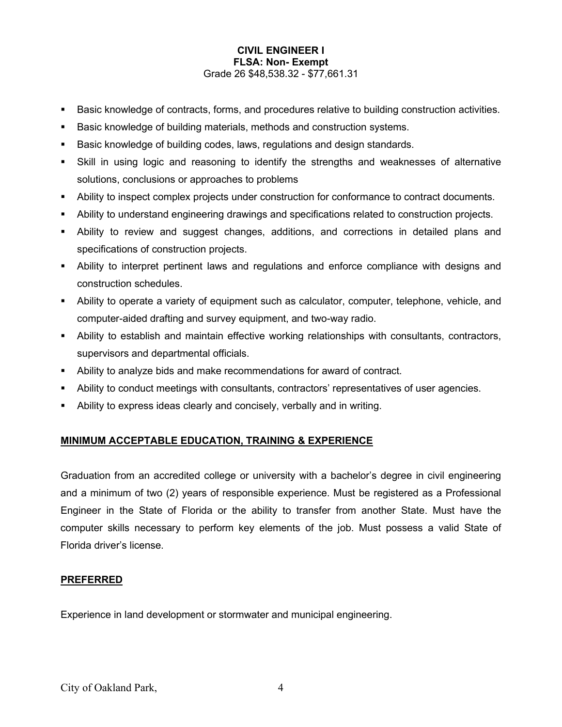- Basic knowledge of contracts, forms, and procedures relative to building construction activities.
- Basic knowledge of building materials, methods and construction systems.
- **Basic knowledge of building codes, laws, regulations and design standards.**
- Skill in using logic and reasoning to identify the strengths and weaknesses of alternative solutions, conclusions or approaches to problems
- Ability to inspect complex projects under construction for conformance to contract documents.
- Ability to understand engineering drawings and specifications related to construction projects.
- Ability to review and suggest changes, additions, and corrections in detailed plans and specifications of construction projects.
- Ability to interpret pertinent laws and regulations and enforce compliance with designs and construction schedules.
- Ability to operate a variety of equipment such as calculator, computer, telephone, vehicle, and computer-aided drafting and survey equipment, and two-way radio.
- Ability to establish and maintain effective working relationships with consultants, contractors, supervisors and departmental officials.
- Ability to analyze bids and make recommendations for award of contract.
- Ability to conduct meetings with consultants, contractors' representatives of user agencies.
- Ability to express ideas clearly and concisely, verbally and in writing.

# **MINIMUM ACCEPTABLE EDUCATION, TRAINING & EXPERIENCE**

Graduation from an accredited college or university with a bachelor's degree in civil engineering and a minimum of two (2) years of responsible experience. Must be registered as a Professional Engineer in the State of Florida or the ability to transfer from another State. Must have the computer skills necessary to perform key elements of the job. Must possess a valid State of Florida driver's license.

# **PREFERRED**

Experience in land development or stormwater and municipal engineering.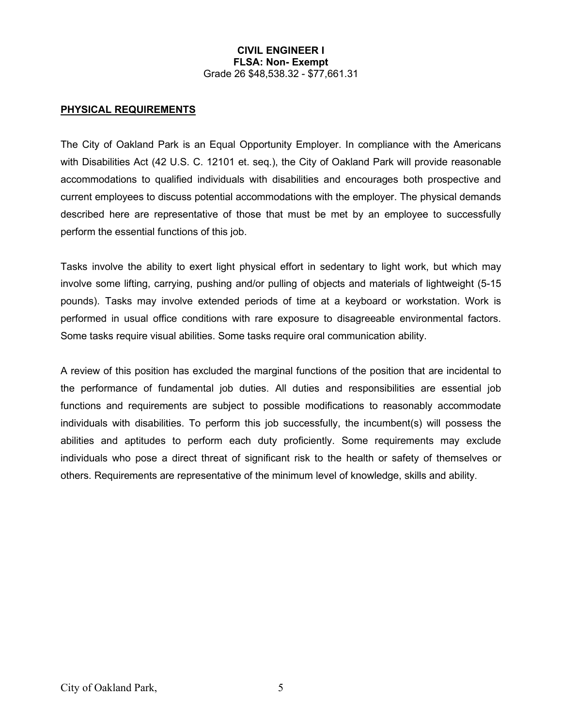### **PHYSICAL REQUIREMENTS**

The City of Oakland Park is an Equal Opportunity Employer. In compliance with the Americans with Disabilities Act (42 U.S. C. 12101 et. seq.), the City of Oakland Park will provide reasonable accommodations to qualified individuals with disabilities and encourages both prospective and current employees to discuss potential accommodations with the employer. The physical demands described here are representative of those that must be met by an employee to successfully perform the essential functions of this job.

Tasks involve the ability to exert light physical effort in sedentary to light work, but which may involve some lifting, carrying, pushing and/or pulling of objects and materials of lightweight (5-15 pounds). Tasks may involve extended periods of time at a keyboard or workstation. Work is performed in usual office conditions with rare exposure to disagreeable environmental factors. Some tasks require visual abilities. Some tasks require oral communication ability.

A review of this position has excluded the marginal functions of the position that are incidental to the performance of fundamental job duties. All duties and responsibilities are essential job functions and requirements are subject to possible modifications to reasonably accommodate individuals with disabilities. To perform this job successfully, the incumbent(s) will possess the abilities and aptitudes to perform each duty proficiently. Some requirements may exclude individuals who pose a direct threat of significant risk to the health or safety of themselves or others. Requirements are representative of the minimum level of knowledge, skills and ability.

City of Oakland Park, 5